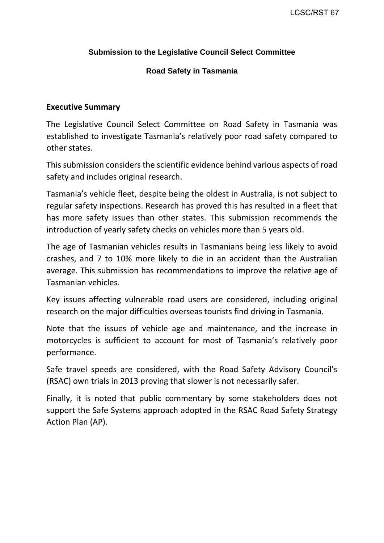#### **Submission to the Legislative Council Select Committee**

#### **Road Safety in Tasmania**

#### **Executive Summary**

The Legislative Council Select Committee on Road Safety in Tasmania was established to investigate Tasmania's relatively poor road safety compared to other states.

This submission considers the scientific evidence behind various aspects of road safety and includes original research.

Tasmania's vehicle fleet, despite being the oldest in Australia, is not subject to regular safety inspections. Research has proved this has resulted in a fleet that has more safety issues than other states. This submission recommends the introduction of yearly safety checks on vehicles more than 5 years old.

The age of Tasmanian vehicles results in Tasmanians being less likely to avoid crashes, and 7 to 10% more likely to die in an accident than the Australian average. This submission has recommendations to improve the relative age of Tasmanian vehicles.

Key issues affecting vulnerable road users are considered, including original research on the major difficulties overseas tourists find driving in Tasmania.

Note that the issues of vehicle age and maintenance, and the increase in motorcycles is sufficient to account for most of Tasmania's relatively poor performance.

Safe travel speeds are considered, with the Road Safety Advisory Council's (RSAC) own trials in 2013 proving that slower is not necessarily safer.

Finally, it is noted that public commentary by some stakeholders does not support the Safe Systems approach adopted in the RSAC Road Safety Strategy Action Plan (AP).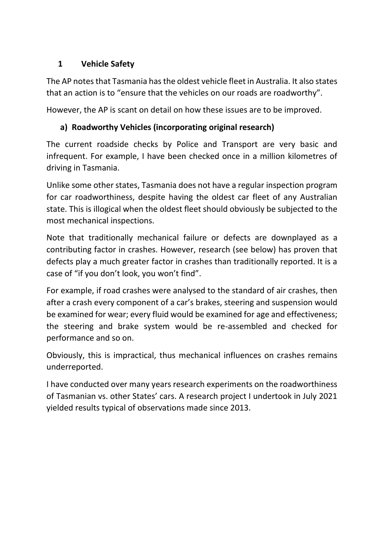# **1 Vehicle Safety**

The AP notes that Tasmania has the oldest vehicle fleet in Australia. It also states that an action is to "ensure that the vehicles on our roads are roadworthy".

However, the AP is scant on detail on how these issues are to be improved.

# **a) Roadworthy Vehicles (incorporating original research)**

The current roadside checks by Police and Transport are very basic and infrequent. For example, I have been checked once in a million kilometres of driving in Tasmania.

Unlike some other states, Tasmania does not have a regular inspection program for car roadworthiness, despite having the oldest car fleet of any Australian state. This is illogical when the oldest fleet should obviously be subjected to the most mechanical inspections.

Note that traditionally mechanical failure or defects are downplayed as a contributing factor in crashes. However, research (see below) has proven that defects play a much greater factor in crashes than traditionally reported. It is a case of "if you don't look, you won't find".

For example, if road crashes were analysed to the standard of air crashes, then after a crash every component of a car's brakes, steering and suspension would be examined for wear; every fluid would be examined for age and effectiveness; the steering and brake system would be re-assembled and checked for performance and so on.

Obviously, this is impractical, thus mechanical influences on crashes remains underreported.

I have conducted over many years research experiments on the roadworthiness of Tasmanian vs. other States' cars. A research project I undertook in July 2021 yielded results typical of observations made since 2013.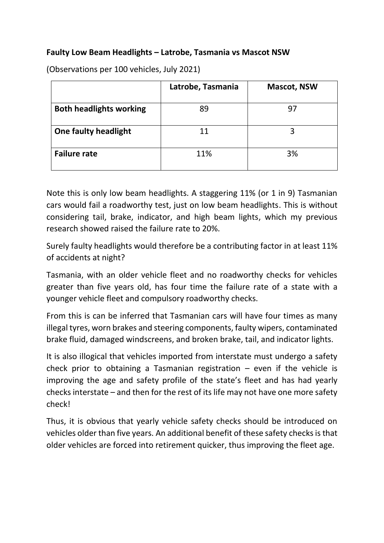### **Faulty Low Beam Headlights – Latrobe, Tasmania vs Mascot NSW**

|                                | Latrobe, Tasmania | <b>Mascot, NSW</b> |
|--------------------------------|-------------------|--------------------|
| <b>Both headlights working</b> | 89                | 97                 |
| <b>One faulty headlight</b>    | 11                |                    |
| <b>Failure rate</b>            | 11%               | 3%                 |

(Observations per 100 vehicles, July 2021)

Note this is only low beam headlights. A staggering 11% (or 1 in 9) Tasmanian cars would fail a roadworthy test, just on low beam headlights. This is without considering tail, brake, indicator, and high beam lights, which my previous research showed raised the failure rate to 20%.

Surely faulty headlights would therefore be a contributing factor in at least 11% of accidents at night?

Tasmania, with an older vehicle fleet and no roadworthy checks for vehicles greater than five years old, has four time the failure rate of a state with a younger vehicle fleet and compulsory roadworthy checks.

From this is can be inferred that Tasmanian cars will have four times as many illegal tyres, worn brakes and steering components, faulty wipers, contaminated brake fluid, damaged windscreens, and broken brake, tail, and indicator lights.

It is also illogical that vehicles imported from interstate must undergo a safety check prior to obtaining a Tasmanian registration  $-$  even if the vehicle is improving the age and safety profile of the state's fleet and has had yearly checks interstate – and then for the rest of its life may not have one more safety check!

Thus, it is obvious that yearly vehicle safety checks should be introduced on vehicles older than five years. An additional benefit of these safety checks is that older vehicles are forced into retirement quicker, thus improving the fleet age.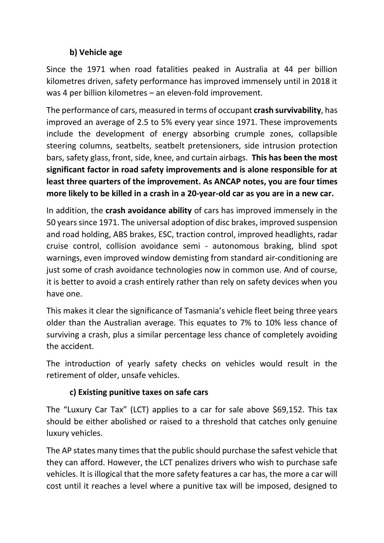## **b) Vehicle age**

Since the 1971 when road fatalities peaked in Australia at 44 per billion kilometres driven, safety performance has improved immensely until in 2018 it was 4 per billion kilometres – an eleven-fold improvement.

The performance of cars, measured in terms of occupant **crash survivability**, has improved an average of 2.5 to 5% every year since 1971. These improvements include the development of energy absorbing crumple zones, collapsible steering columns, seatbelts, seatbelt pretensioners, side intrusion protection bars, safety glass, front, side, knee, and curtain airbags. **This has been the most significant factor in road safety improvements and is alone responsible for at least three quarters of the improvement. As ANCAP notes, you are four times more likely to be killed in a crash in a 20-year-old car as you are in a new car.** 

In addition, the **crash avoidance ability** of cars has improved immensely in the 50 years since 1971. The universal adoption of disc brakes, improved suspension and road holding, ABS brakes, ESC, traction control, improved headlights, radar cruise control, collision avoidance semi - autonomous braking, blind spot warnings, even improved window demisting from standard air-conditioning are just some of crash avoidance technologies now in common use. And of course, it is better to avoid a crash entirely rather than rely on safety devices when you have one.

This makes it clear the significance of Tasmania's vehicle fleet being three years older than the Australian average. This equates to 7% to 10% less chance of surviving a crash, plus a similar percentage less chance of completely avoiding the accident.

The introduction of yearly safety checks on vehicles would result in the retirement of older, unsafe vehicles.

# **c) Existing punitive taxes on safe cars**

The "Luxury Car Tax" (LCT) applies to a car for sale above \$69,152. This tax should be either abolished or raised to a threshold that catches only genuine luxury vehicles.

The AP states many times that the public should purchase the safest vehicle that they can afford. However, the LCT penalizes drivers who wish to purchase safe vehicles. It is illogical that the more safety features a car has, the more a car will cost until it reaches a level where a punitive tax will be imposed, designed to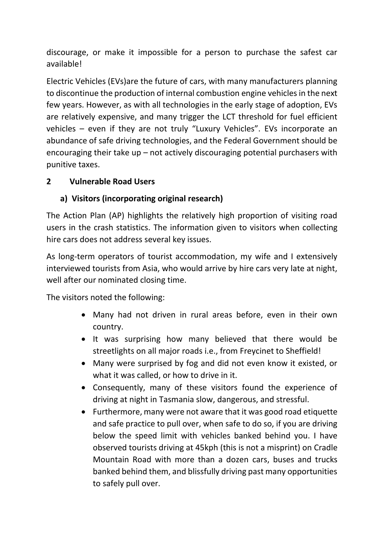discourage, or make it impossible for a person to purchase the safest car available!

Electric Vehicles (EVs)are the future of cars, with many manufacturers planning to discontinue the production of internal combustion engine vehicles in the next few years. However, as with all technologies in the early stage of adoption, EVs are relatively expensive, and many trigger the LCT threshold for fuel efficient vehicles – even if they are not truly "Luxury Vehicles". EVs incorporate an abundance of safe driving technologies, and the Federal Government should be encouraging their take up – not actively discouraging potential purchasers with punitive taxes.

# **2 Vulnerable Road Users**

# **a) Visitors (incorporating original research)**

The Action Plan (AP) highlights the relatively high proportion of visiting road users in the crash statistics. The information given to visitors when collecting hire cars does not address several key issues.

As long-term operators of tourist accommodation, my wife and I extensively interviewed tourists from Asia, who would arrive by hire cars very late at night, well after our nominated closing time.

The visitors noted the following:

- Many had not driven in rural areas before, even in their own country.
- It was surprising how many believed that there would be streetlights on all major roads i.e., from Freycinet to Sheffield!
- Many were surprised by fog and did not even know it existed, or what it was called, or how to drive in it.
- Consequently, many of these visitors found the experience of driving at night in Tasmania slow, dangerous, and stressful.
- Furthermore, many were not aware that it was good road etiquette and safe practice to pull over, when safe to do so, if you are driving below the speed limit with vehicles banked behind you. I have observed tourists driving at 45kph (this is not a misprint) on Cradle Mountain Road with more than a dozen cars, buses and trucks banked behind them, and blissfully driving past many opportunities to safely pull over.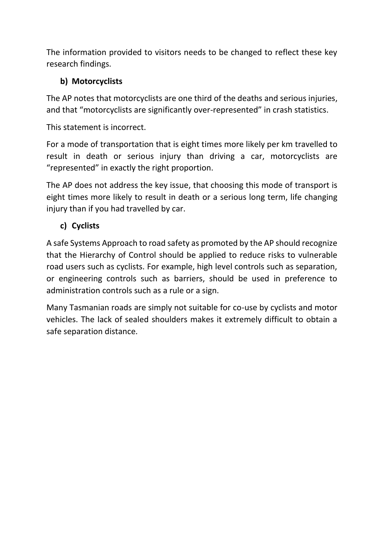The information provided to visitors needs to be changed to reflect these key research findings.

# **b) Motorcyclists**

The AP notes that motorcyclists are one third of the deaths and serious injuries, and that "motorcyclists are significantly over-represented" in crash statistics.

This statement is incorrect.

For a mode of transportation that is eight times more likely per km travelled to result in death or serious injury than driving a car, motorcyclists are "represented" in exactly the right proportion.

The AP does not address the key issue, that choosing this mode of transport is eight times more likely to result in death or a serious long term, life changing injury than if you had travelled by car.

# **c) Cyclists**

A safe Systems Approach to road safety as promoted by the AP should recognize that the Hierarchy of Control should be applied to reduce risks to vulnerable road users such as cyclists. For example, high level controls such as separation, or engineering controls such as barriers, should be used in preference to administration controls such as a rule or a sign.

Many Tasmanian roads are simply not suitable for co-use by cyclists and motor vehicles. The lack of sealed shoulders makes it extremely difficult to obtain a safe separation distance.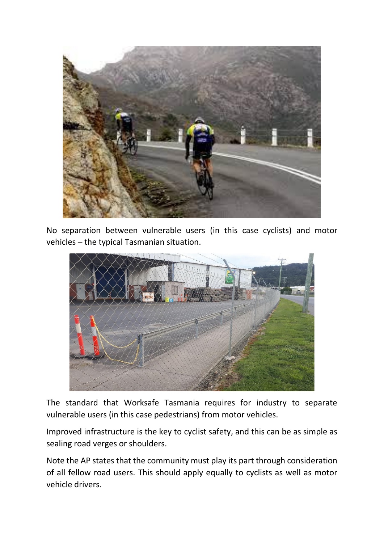

No separation between vulnerable users (in this case cyclists) and motor vehicles – the typical Tasmanian situation.



The standard that Worksafe Tasmania requires for industry to separate vulnerable users (in this case pedestrians) from motor vehicles.

Improved infrastructure is the key to cyclist safety, and this can be as simple as sealing road verges or shoulders.

Note the AP states that the community must play its part through consideration of all fellow road users. This should apply equally to cyclists as well as motor vehicle drivers.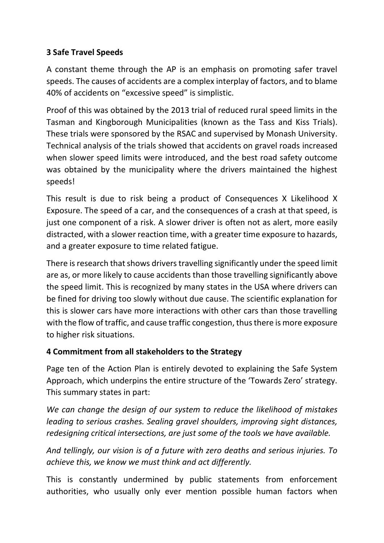# **3 Safe Travel Speeds**

A constant theme through the AP is an emphasis on promoting safer travel speeds. The causes of accidents are a complex interplay of factors, and to blame 40% of accidents on "excessive speed" is simplistic.

Proof of this was obtained by the 2013 trial of reduced rural speed limits in the Tasman and Kingborough Municipalities (known as the Tass and Kiss Trials). These trials were sponsored by the RSAC and supervised by Monash University. Technical analysis of the trials showed that accidents on gravel roads increased when slower speed limits were introduced, and the best road safety outcome was obtained by the municipality where the drivers maintained the highest speeds!

This result is due to risk being a product of Consequences X Likelihood X Exposure. The speed of a car, and the consequences of a crash at that speed, is just one component of a risk. A slower driver is often not as alert, more easily distracted, with a slower reaction time, with a greater time exposure to hazards, and a greater exposure to time related fatigue.

There is research that shows drivers travelling significantly under the speed limit are as, or more likely to cause accidents than those travelling significantly above the speed limit. This is recognized by many states in the USA where drivers can be fined for driving too slowly without due cause. The scientific explanation for this is slower cars have more interactions with other cars than those travelling with the flow of traffic, and cause traffic congestion, thus there is more exposure to higher risk situations.

### **4 Commitment from all stakeholders to the Strategy**

Page ten of the Action Plan is entirely devoted to explaining the Safe System Approach, which underpins the entire structure of the 'Towards Zero' strategy. This summary states in part:

*We can change the design of our system to reduce the likelihood of mistakes leading to serious crashes. Sealing gravel shoulders, improving sight distances, redesigning critical intersections, are just some of the tools we have available.*

*And tellingly, our vision is of a future with zero deaths and serious injuries. To achieve this, we know we must think and act differently.*

This is constantly undermined by public statements from enforcement authorities, who usually only ever mention possible human factors when